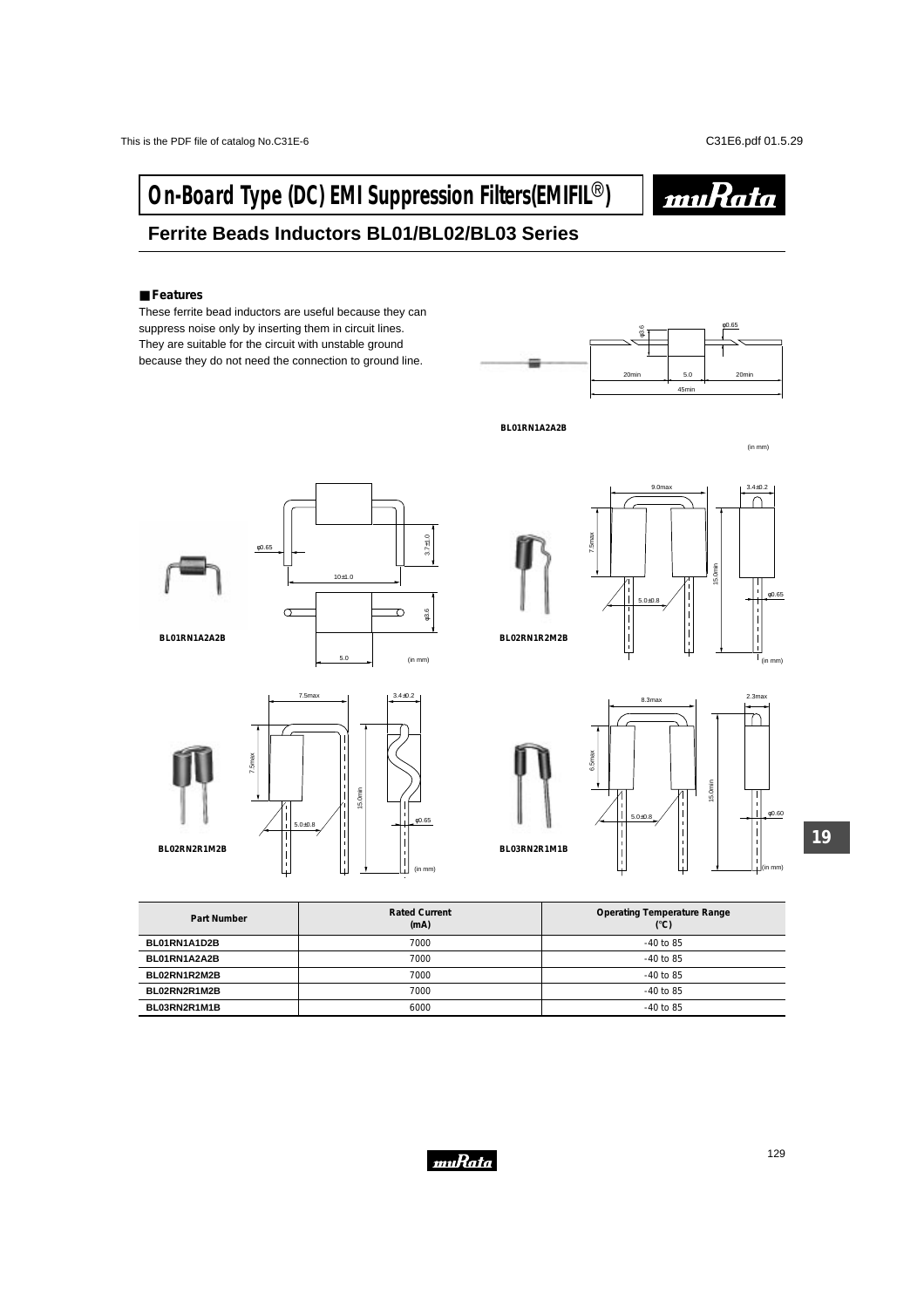# **On-Board Type (DC) EMI Suppression Filters(EMIFIL<sup>®</sup>)**



## **Ferrite Beads Inductors BL01/BL02/BL03 Series**

### ■ **Features**

**BL02RN2R1M2B**

These ferrite bead inductors are useful because they can suppress noise only by inserting them in circuit lines. They are suitable for the circuit with unstable ground because they do not need the connection to ground line.



**BL01RN1A2A2B**

(in mm)











| Part Number  | <b>Rated Current</b><br>(mA) | <b>Operating Temperature Range</b><br>$(^{\circ}C)$ |
|--------------|------------------------------|-----------------------------------------------------|
| BL01RN1A1D2B | 7000                         | $-40$ to 85                                         |
| BL01RN1A2A2B | 7000                         | $-40$ to 85                                         |
| BL02RN1R2M2B | 7000                         | $-40$ to 85                                         |
| BL02RN2R1M2B | 7000                         | $-40$ to 85                                         |
| BL03RN2R1M1B | 6000                         | $-40$ to 85                                         |

(in mm)

 $5.0+0.8$   $\left| \begin{array}{c} | \\ | \end{array} \right|$   $\left| \begin{array}{c} | \\ | \end{array} \right|$   $\left| \begin{array}{c} | \\ \hline \end{array} \right|$   $\left| \begin{array}{c} | \\ \hline \end{array} \right|$   $\left| \begin{array}{c} | \\ \hline \end{array} \right|$ 

 $\begin{bmatrix} 1 \\ 1 \\ 1 \end{bmatrix}$ 



**19**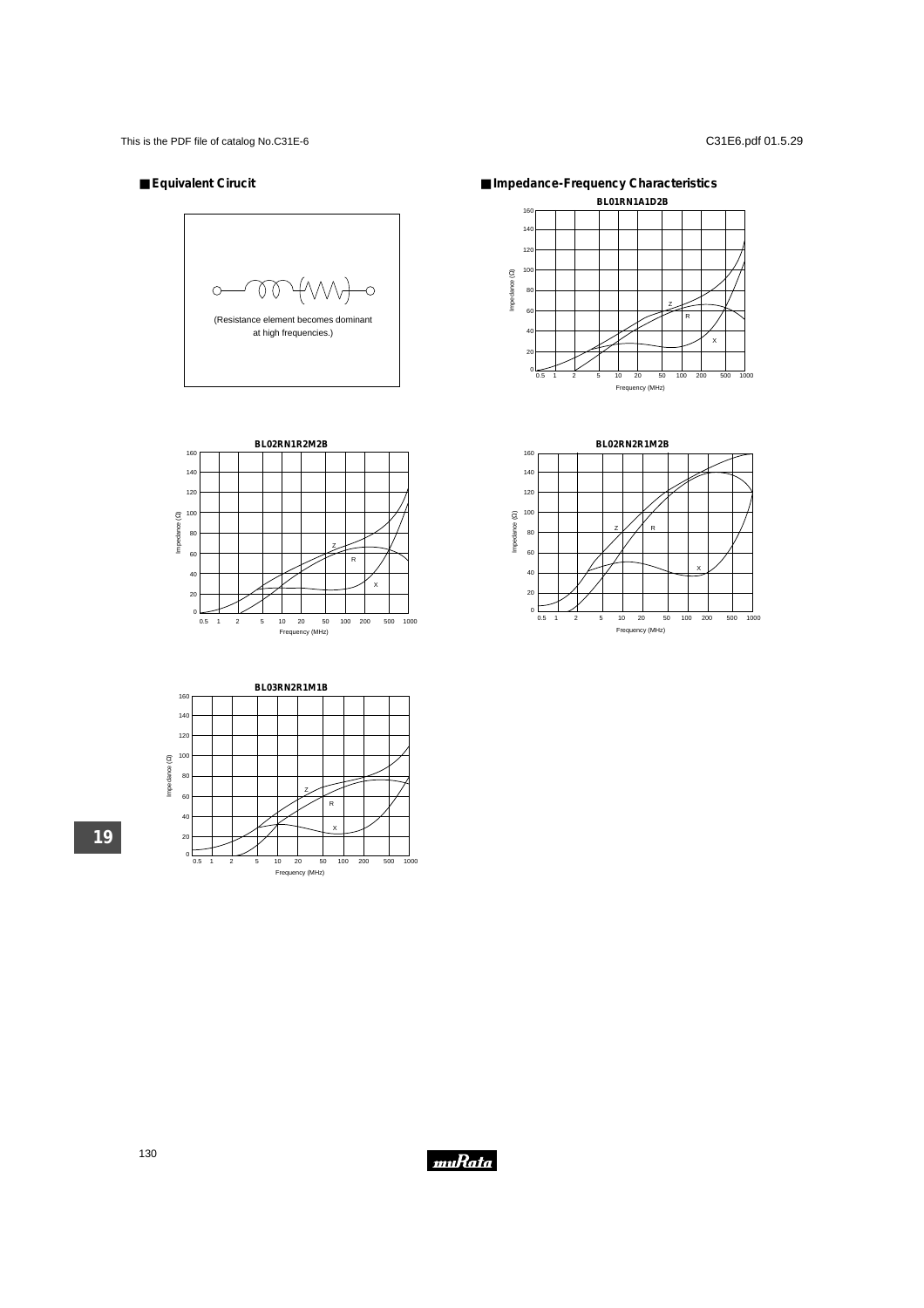### ■ **Equivalent Cirucit**







■ **Impedance-Frequency Characteristics**